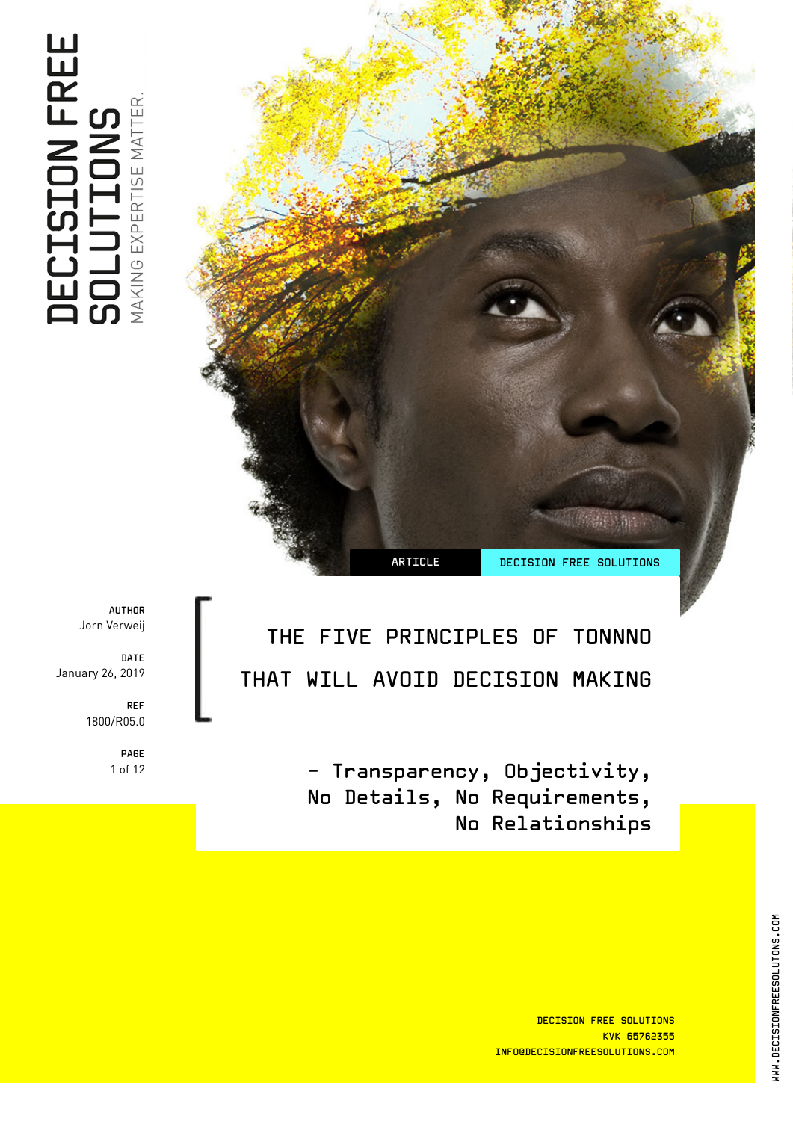THE FIVE PRINCIPLES OF TONNNO THAT WILL AVOID DECISION MAKING

> - Transparency, Objectivity, No Details, No Requirements, No Relationships

ARTICLE DECISION FREE SOLUTIONS

AUTHOR Jorn Verweij

DATE January 26, 2019

> REF 1800/R05.0

> > PAGE 1 of 12

DECISION FREE SOLUTIONS KVK 65762355 INFO@DECISIONFREESOLUTIONS.COM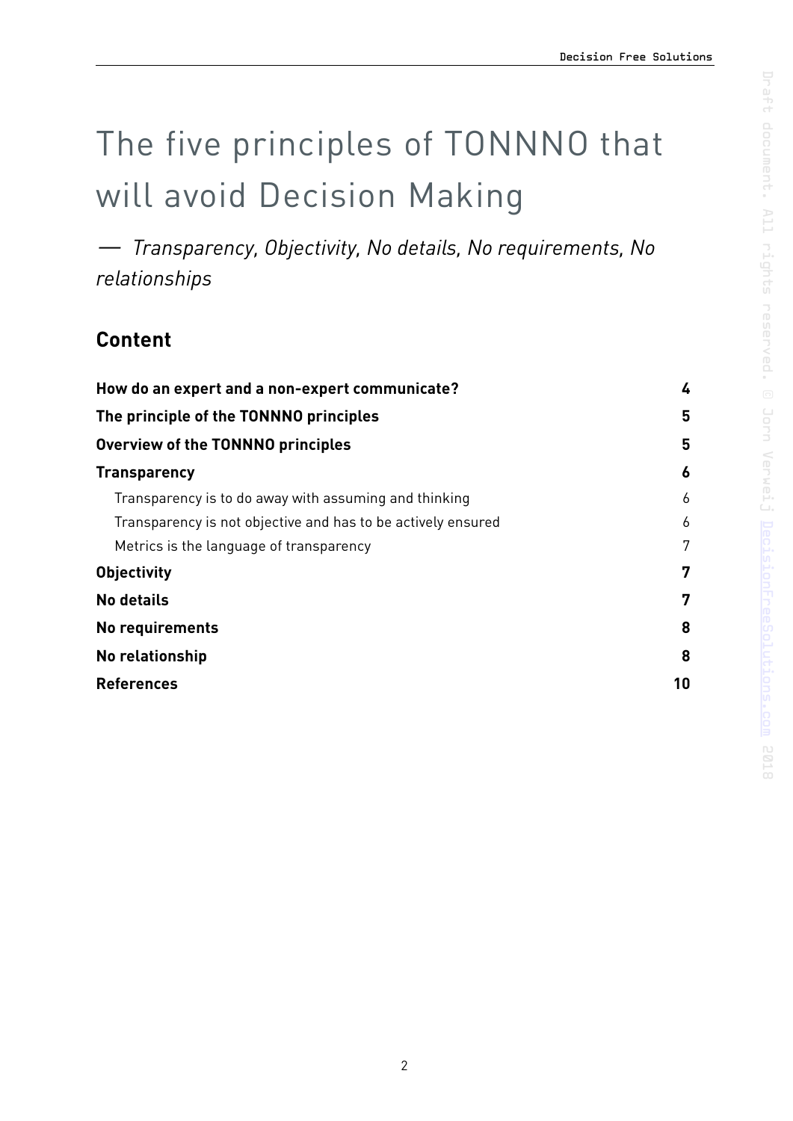# The five principles of TONNNO that will avoid Decision Making

*— Transparency, Objectivity, No details, No requirements, No relationships* 

## **Content**

| How do an expert and a non-expert communicate?<br>The principle of the TONNNO principles |   |
|------------------------------------------------------------------------------------------|---|
|                                                                                          |   |
| <b>Transparency</b>                                                                      | 6 |
| Transparency is to do away with assuming and thinking                                    | 6 |
| Transparency is not objective and has to be actively ensured                             | 6 |
| Metrics is the language of transparency                                                  | 7 |
| <b>Objectivity</b>                                                                       | 7 |
| <b>No details</b>                                                                        | 7 |
| No requirements                                                                          | 8 |
| <b>No relationship</b>                                                                   |   |
| <b>References</b>                                                                        |   |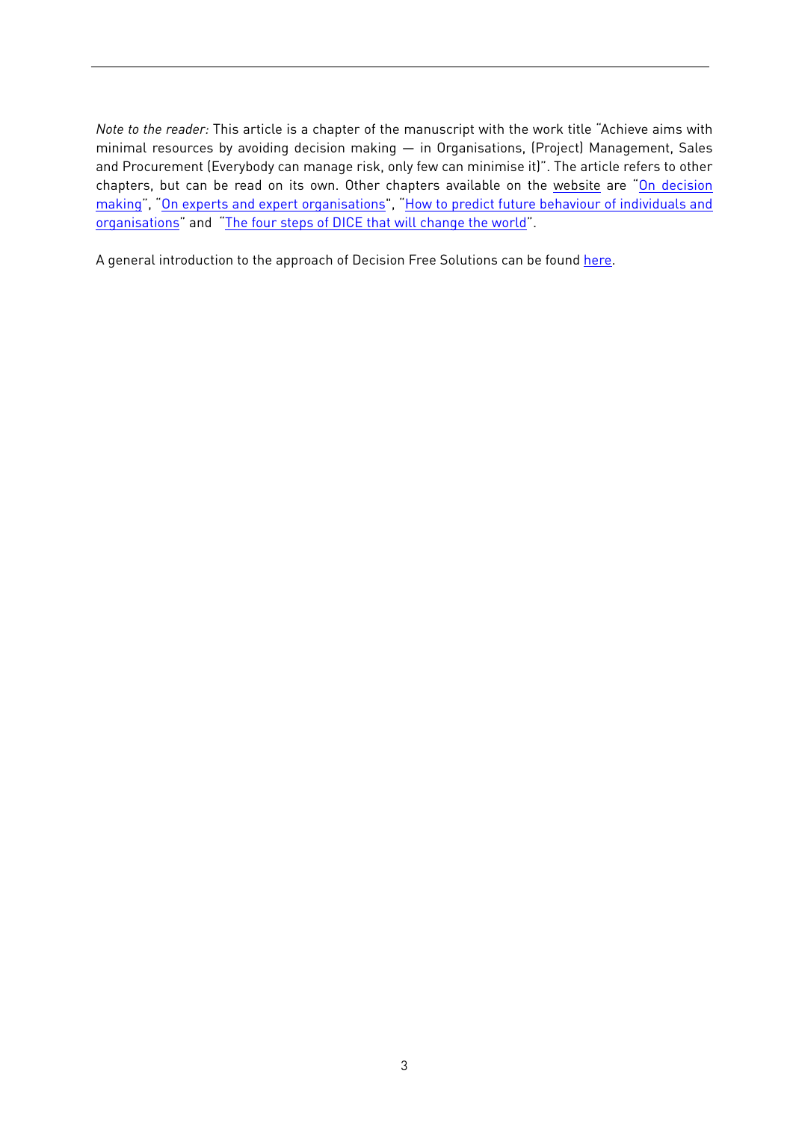*Note to the reader:* This article is a chapter of the manuscript with the work title "Achieve aims with minimal resources by avoiding decision making — in Organisations, (Project) Management, Sales and Procurement (Everybody can manage risk, only few can minimise it)". The article refers to other chapters, but can be read on its own. Other chapters available on the [website](http://decisionfreesolutions.com) are "[On decision](https://decisionfreesolutions.com/publication/on-decision-making/) [making"](https://decisionfreesolutions.com/publication/on-decision-making/), ["On experts and expert organisations"](https://decisionfreesolutions.com/publication/on-experts-and-expert-organisations/), ["How to predict future behaviour of individuals and](https://decisionfreesolutions.com/publication/how-to-predict-future-behaviour-of-individuals-and-organisations/) [organisations"](https://decisionfreesolutions.com/publication/how-to-predict-future-behaviour-of-individuals-and-organisations/) and ["The four steps of DICE that will change the world"](https://decisionfreesolutions.com/publication/dice-will-save-the-world/).

A general introduction to the approach of Decision Free Solutions can be found [here](https://decisionfreesolutions.com/publication/the-approach-of-decision-free-solutions/).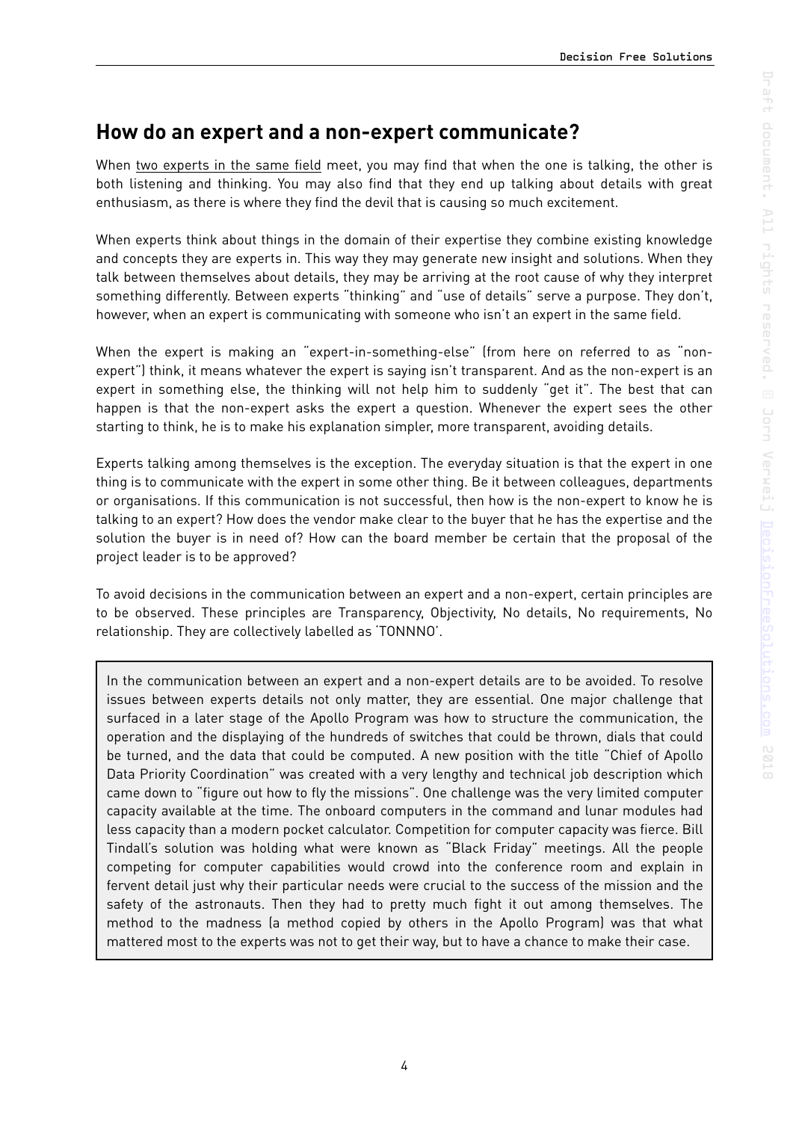## <span id="page-3-0"></span>**How do an expert and a non-expert communicate?**

When two experts in the same field meet, you may find that when the one is talking, the other is both listening and thinking. You may also find that they end up talking about details with great enthusiasm, as there is where they find the devil that is causing so much excitement.

When experts think about things in the domain of their expertise they combine existing knowledge and concepts they are experts in. This way they may generate new insight and solutions. When they talk between themselves about details, they may be arriving at the root cause of why they interpret something differently. Between experts "thinking" and "use of details" serve a purpose. They don't, however, when an expert is communicating with someone who isn't an expert in the same field.

When the expert is making an "expert-in-something-else" (from here on referred to as "nonexpert") think, it means whatever the expert is saying isn't transparent. And as the non-expert is an expert in something else, the thinking will not help him to suddenly "get it". The best that can happen is that the non-expert asks the expert a question. Whenever the expert sees the other starting to think, he is to make his explanation simpler, more transparent, avoiding details.

Experts talking among themselves is the exception. The everyday situation is that the expert in one thing is to communicate with the expert in some other thing. Be it between colleagues, departments or organisations. If this communication is not successful, then how is the non-expert to know he is talking to an expert? How does the vendor make clear to the buyer that he has the expertise and the solution the buyer is in need of? How can the board member be certain that the proposal of the project leader is to be approved?

To avoid decisions in the communication between an expert and a non-expert, certain principles are to be observed. These principles are Transparency, Objectivity, No details, No requirements, No relationship. They are collectively labelled as 'TONNNO'.

In the communication between an expert and a non-expert details are to be avoided. To resolve issues between experts details not only matter, they are essential. One major challenge that surfaced in a later stage of the Apollo Program was how to structure the communication, the operation and the displaying of the hundreds of switches that could be thrown, dials that could be turned, and the data that could be computed. A new position with the title "Chief of Apollo Data Priority Coordination" was created with a very lengthy and technical job description which came down to "figure out how to fly the missions". One challenge was the very limited computer capacity available at the time. The onboard computers in the command and lunar modules had less capacity than a modern pocket calculator. Competition for computer capacity was fierce. Bill Tindall's solution was holding what were known as "Black Friday" meetings. All the people competing for computer capabilities would crowd into the conference room and explain in fervent detail just why their particular needs were crucial to the success of the mission and the safety of the astronauts. Then they had to pretty much fight it out among themselves. The method to the madness (a method copied by others in the Apollo Program) was that what mattered most to the experts was not to get their way, but to have a chance to make their case.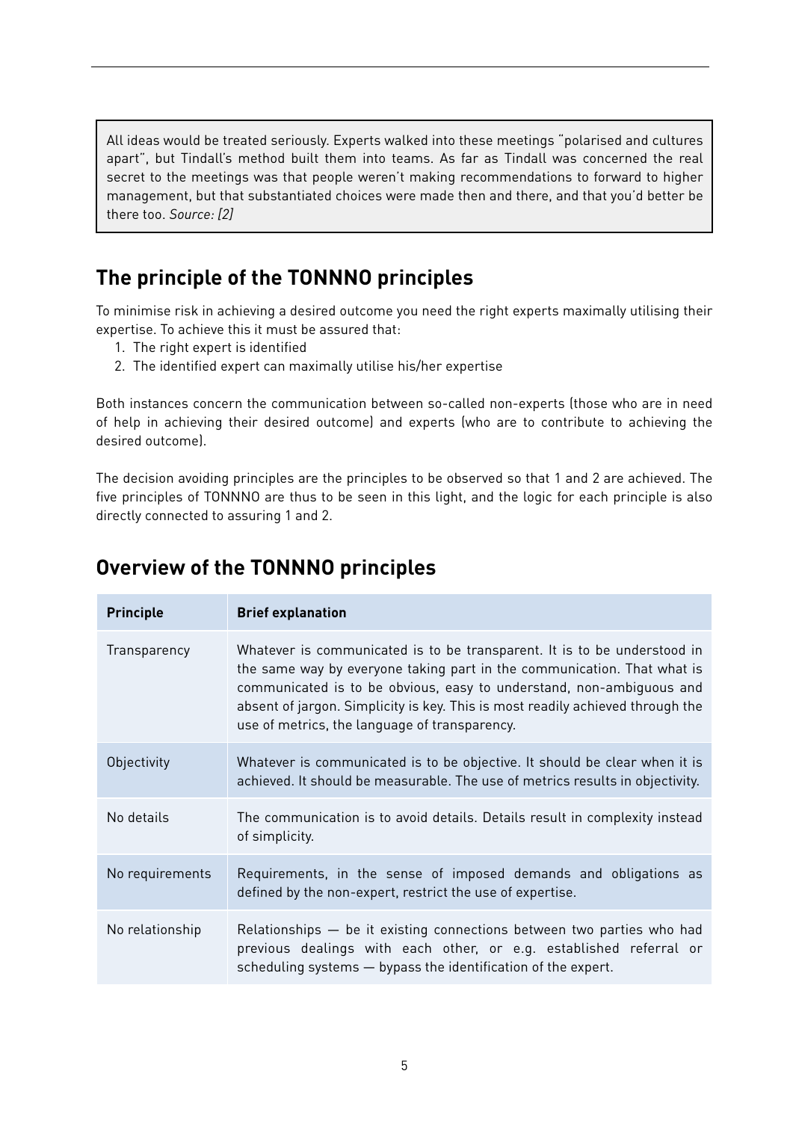All ideas would be treated seriously. Experts walked into these meetings "polarised and cultures apart", but Tindall's method built them into teams. As far as Tindall was concerned the real secret to the meetings was that people weren't making recommendations to forward to higher management, but that substantiated choices were made then and there, and that you'd better be there too. *Source: [2]*

## <span id="page-4-0"></span>**The principle of the TONNNO principles**

To minimise risk in achieving a desired outcome you need the right experts maximally utilising their expertise. To achieve this it must be assured that:

- 1. The right expert is identified
- 2. The identified expert can maximally utilise his/her expertise

Both instances concern the communication between so-called non-experts (those who are in need of help in achieving their desired outcome) and experts (who are to contribute to achieving the desired outcome).

The decision avoiding principles are the principles to be observed so that 1 and 2 are achieved. The five principles of TONNNO are thus to be seen in this light, and the logic for each principle is also directly connected to assuring 1 and 2.

## <span id="page-4-1"></span>**Overview of the TONNNO principles**

| <b>Principle</b> | <b>Brief explanation</b>                                                                                                                                                                                                                                                                                                                                       |
|------------------|----------------------------------------------------------------------------------------------------------------------------------------------------------------------------------------------------------------------------------------------------------------------------------------------------------------------------------------------------------------|
| Transparency     | Whatever is communicated is to be transparent. It is to be understood in<br>the same way by everyone taking part in the communication. That what is<br>communicated is to be obvious, easy to understand, non-ambiquous and<br>absent of jargon. Simplicity is key. This is most readily achieved through the<br>use of metrics, the language of transparency. |
| Objectivity      | Whatever is communicated is to be objective. It should be clear when it is<br>achieved. It should be measurable. The use of metrics results in objectivity.                                                                                                                                                                                                    |
| No details       | The communication is to avoid details. Details result in complexity instead<br>of simplicity.                                                                                                                                                                                                                                                                  |
| No requirements  | Requirements, in the sense of imposed demands and obligations as<br>defined by the non-expert, restrict the use of expertise.                                                                                                                                                                                                                                  |
| No relationship  | Relationships - be it existing connections between two parties who had<br>previous dealings with each other, or e.g. established referral or<br>scheduling systems - bypass the identification of the expert.                                                                                                                                                  |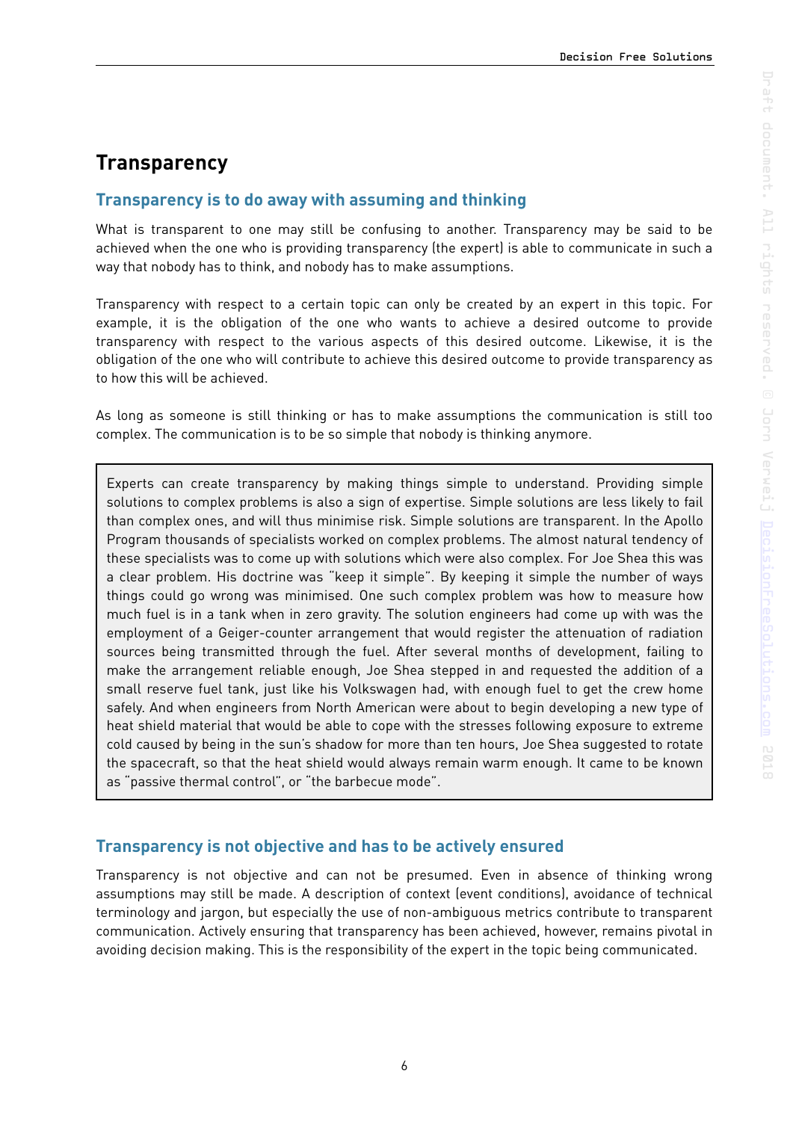## <span id="page-5-0"></span>**Transparency**

#### <span id="page-5-1"></span>**Transparency is to do away with assuming and thinking**

What is transparent to one may still be confusing to another. Transparency may be said to be achieved when the one who is providing transparency (the expert) is able to communicate in such a way that nobody has to think, and nobody has to make assumptions.

Transparency with respect to a certain topic can only be created by an expert in this topic. For example, it is the obligation of the one who wants to achieve a desired outcome to provide transparency with respect to the various aspects of this desired outcome. Likewise, it is the obligation of the one who will contribute to achieve this desired outcome to provide transparency as to how this will be achieved.

As long as someone is still thinking or has to make assumptions the communication is still too complex. The communication is to be so simple that nobody is thinking anymore.

Experts can create transparency by making things simple to understand. Providing simple solutions to complex problems is also a sign of expertise. Simple solutions are less likely to fail than complex ones, and will thus minimise risk. Simple solutions are transparent. In the Apollo Program thousands of specialists worked on complex problems. The almost natural tendency of these specialists was to come up with solutions which were also complex. For Joe Shea this was a clear problem. His doctrine was "keep it simple". By keeping it simple the number of ways things could go wrong was minimised. One such complex problem was how to measure how much fuel is in a tank when in zero gravity. The solution engineers had come up with was the employment of a Geiger-counter arrangement that would register the attenuation of radiation sources being transmitted through the fuel. After several months of development, failing to make the arrangement reliable enough, Joe Shea stepped in and requested the addition of a small reserve fuel tank, just like his Volkswagen had, with enough fuel to get the crew home safely. And when engineers from North American were about to begin developing a new type of heat shield material that would be able to cope with the stresses following exposure to extreme cold caused by being in the sun's shadow for more than ten hours, Joe Shea suggested to rotate the spacecraft, so that the heat shield would always remain warm enough. It came to be known as "passive thermal control", or "the barbecue mode".

#### <span id="page-5-2"></span>**Transparency is not objective and has to be actively ensured**

Transparency is not objective and can not be presumed. Even in absence of thinking wrong assumptions may still be made. A description of context (event conditions), avoidance of technical terminology and jargon, but especially the use of non-ambiguous metrics contribute to transparent communication. Actively ensuring that transparency has been achieved, however, remains pivotal in avoiding decision making. This is the responsibility of the expert in the topic being communicated.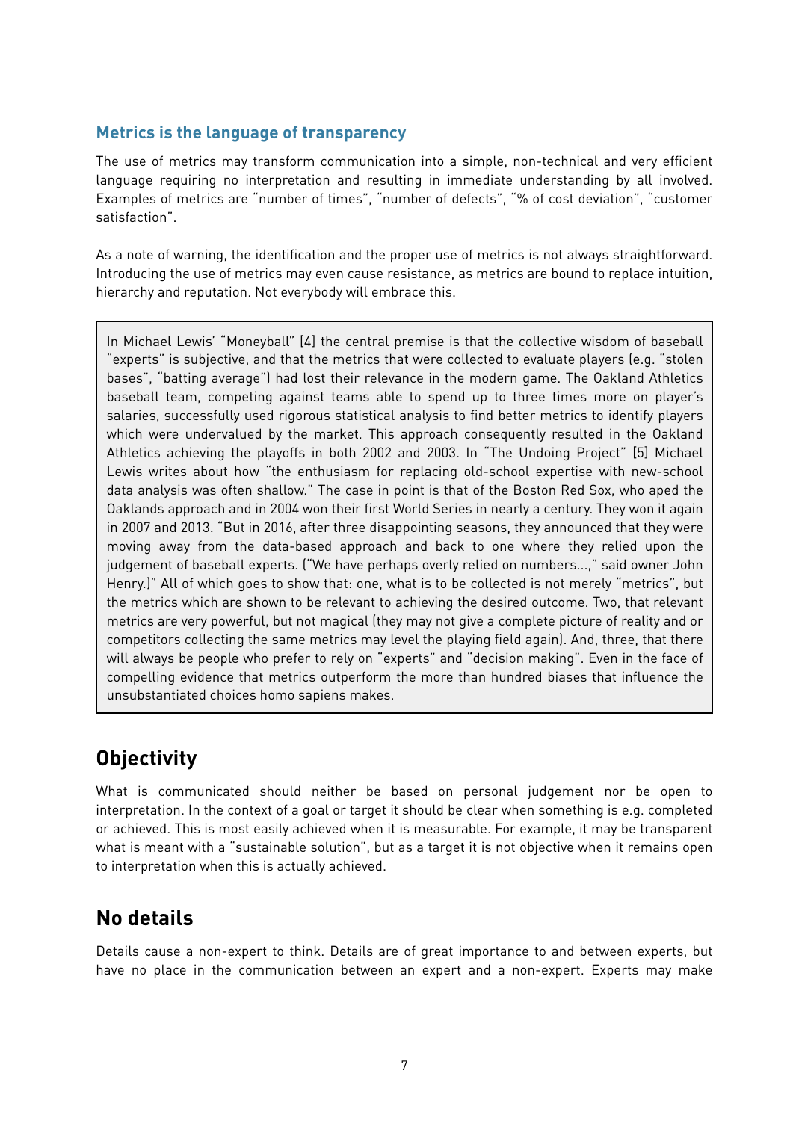#### <span id="page-6-0"></span>**Metrics is the language of transparency**

The use of metrics may transform communication into a simple, non-technical and very efficient language requiring no interpretation and resulting in immediate understanding by all involved. Examples of metrics are "number of times", "number of defects", "% of cost deviation", "customer satisfaction".

As a note of warning, the identification and the proper use of metrics is not always straightforward. Introducing the use of metrics may even cause resistance, as metrics are bound to replace intuition, hierarchy and reputation. Not everybody will embrace this.

In Michael Lewis' "Moneyball" [4] the central premise is that the collective wisdom of baseball "experts" is subjective, and that the metrics that were collected to evaluate players (e.g. "stolen bases", "batting average") had lost their relevance in the modern game. The Oakland Athletics baseball team, competing against teams able to spend up to three times more on player's salaries, successfully used rigorous statistical analysis to find better metrics to identify players which were undervalued by the market. This approach consequently resulted in the Oakland Athletics achieving the playoffs in both 2002 and 2003. In "The Undoing Project" [5] Michael Lewis writes about how "the enthusiasm for replacing old-school expertise with new-school data analysis was often shallow." The case in point is that of the Boston Red Sox, who aped the Oaklands approach and in 2004 won their first World Series in nearly a century. They won it again in 2007 and 2013. "But in 2016, after three disappointing seasons, they announced that they were moving away from the data-based approach and back to one where they relied upon the judgement of baseball experts. ("We have perhaps overly relied on numbers...," said owner John Henry.)" All of which goes to show that: one, what is to be collected is not merely "metrics", but the metrics which are shown to be relevant to achieving the desired outcome. Two, that relevant metrics are very powerful, but not magical (they may not give a complete picture of reality and or competitors collecting the same metrics may level the playing field again). And, three, that there will always be people who prefer to rely on "experts" and "decision making". Even in the face of compelling evidence that metrics outperform the more than hundred biases that influence the unsubstantiated choices homo sapiens makes.

## <span id="page-6-1"></span>**Objectivity**

What is communicated should neither be based on personal judgement nor be open to interpretation. In the context of a goal or target it should be clear when something is e.g. completed or achieved. This is most easily achieved when it is measurable. For example, it may be transparent what is meant with a "sustainable solution", but as a target it is not objective when it remains open to interpretation when this is actually achieved.

## <span id="page-6-2"></span>**No details**

Details cause a non-expert to think. Details are of great importance to and between experts, but have no place in the communication between an expert and a non-expert. Experts may make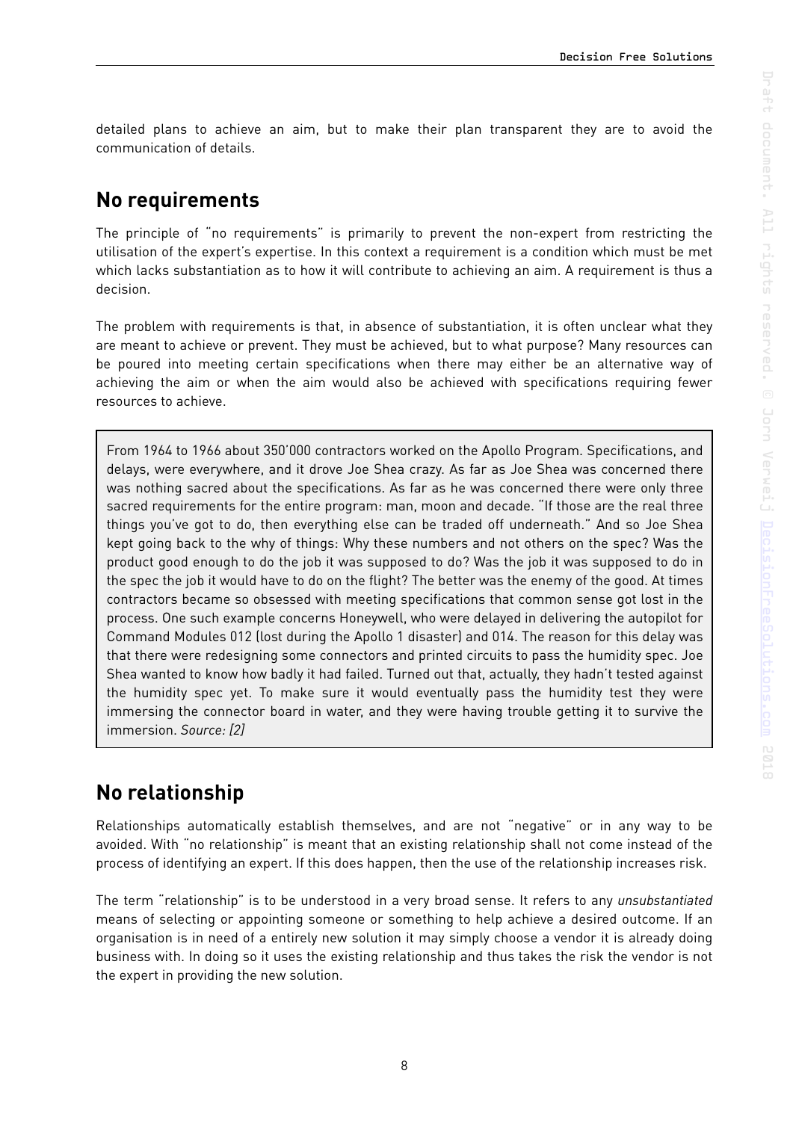detailed plans to achieve an aim, but to make their plan transparent they are to avoid the communication of details.

## <span id="page-7-0"></span>**No requirements**

The principle of "no requirements" is primarily to prevent the non-expert from restricting the utilisation of the expert's expertise. In this context a requirement is a condition which must be met which lacks substantiation as to how it will contribute to achieving an aim. A requirement is thus a decision.

The problem with requirements is that, in absence of substantiation, it is often unclear what they are meant to achieve or prevent. They must be achieved, but to what purpose? Many resources can be poured into meeting certain specifications when there may either be an alternative way of achieving the aim or when the aim would also be achieved with specifications requiring fewer resources to achieve.

From 1964 to 1966 about 350'000 contractors worked on the Apollo Program. Specifications, and delays, were everywhere, and it drove Joe Shea crazy. As far as Joe Shea was concerned there was nothing sacred about the specifications. As far as he was concerned there were only three sacred requirements for the entire program: man, moon and decade. "If those are the real three things you've got to do, then everything else can be traded off underneath." And so Joe Shea kept going back to the why of things: Why these numbers and not others on the spec? Was the product good enough to do the job it was supposed to do? Was the job it was supposed to do in the spec the job it would have to do on the flight? The better was the enemy of the good. At times contractors became so obsessed with meeting specifications that common sense got lost in the process. One such example concerns Honeywell, who were delayed in delivering the autopilot for Command Modules 012 (lost during the Apollo 1 disaster) and 014. The reason for this delay was that there were redesigning some connectors and printed circuits to pass the humidity spec. Joe Shea wanted to know how badly it had failed. Turned out that, actually, they hadn't tested against the humidity spec yet. To make sure it would eventually pass the humidity test they were immersing the connector board in water, and they were having trouble getting it to survive the immersion. *Source: [2]*

## <span id="page-7-1"></span>**No relationship**

Relationships automatically establish themselves, and are not "negative" or in any way to be avoided. With "no relationship" is meant that an existing relationship shall not come instead of the process of identifying an expert. If this does happen, then the use of the relationship increases risk.

The term "relationship" is to be understood in a very broad sense. It refers to any *unsubstantiated*  means of selecting or appointing someone or something to help achieve a desired outcome. If an organisation is in need of a entirely new solution it may simply choose a vendor it is already doing business with. In doing so it uses the existing relationship and thus takes the risk the vendor is not the expert in providing the new solution.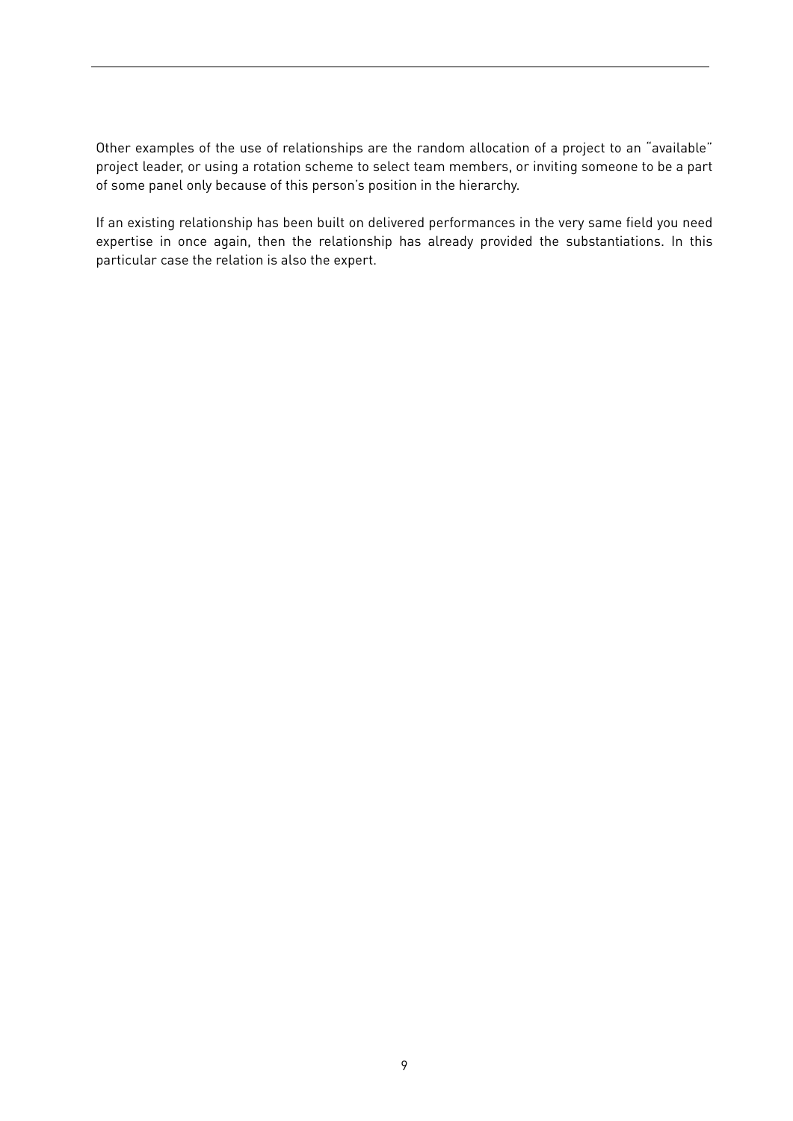Other examples of the use of relationships are the random allocation of a project to an "available" project leader, or using a rotation scheme to select team members, or inviting someone to be a part of some panel only because of this person's position in the hierarchy.

If an existing relationship has been built on delivered performances in the very same field you need expertise in once again, then the relationship has already provided the substantiations. In this particular case the relation is also the expert.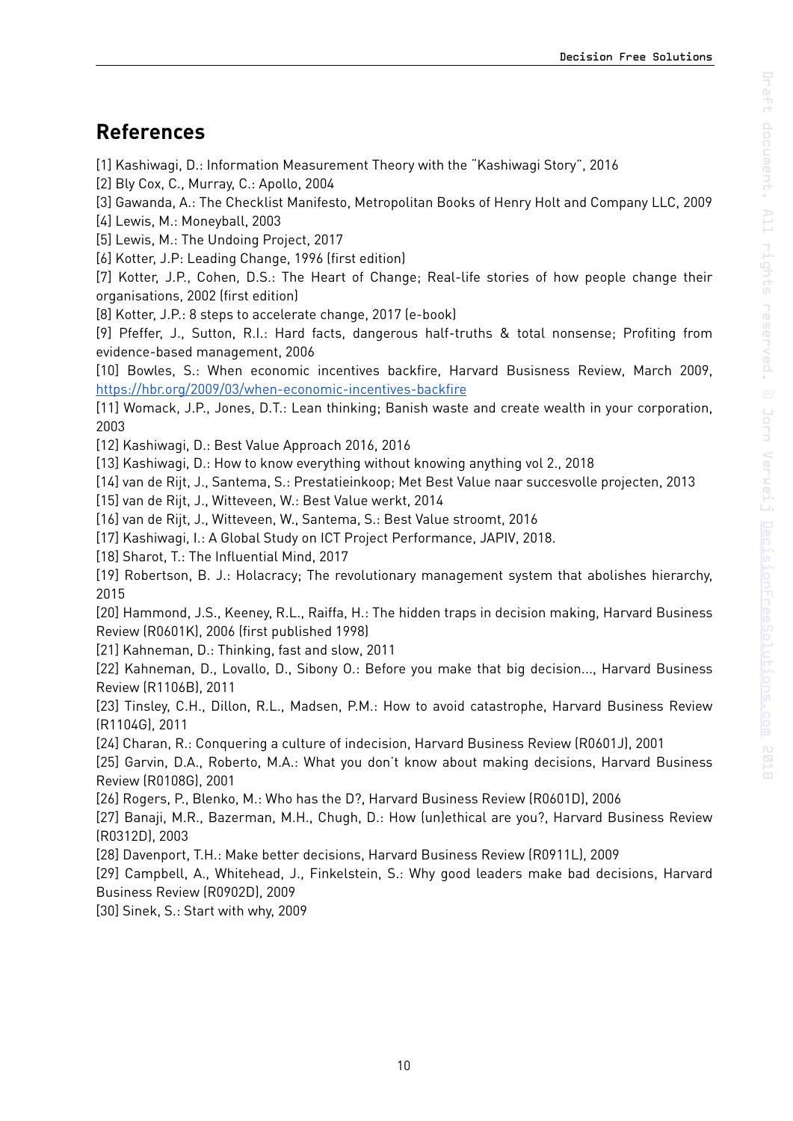### <span id="page-9-0"></span>**References**

[1] Kashiwagi, D.: Information Measurement Theory with the "Kashiwagi Story", 2016

[2] Bly Cox, C., Murray, C.: Apollo, 2004

[3] Gawanda, A.: The Checklist Manifesto, Metropolitan Books of Henry Holt and Company LLC, 2009

[4] Lewis, M.: Moneyball, 2003

[5] Lewis, M.: The Undoing Project, 2017

[6] Kotter, J.P: Leading Change, 1996 (first edition)

[7] Kotter, J.P., Cohen, D.S.: The Heart of Change; Real-life stories of how people change their organisations, 2002 (first edition)

[8] Kotter, J.P.: 8 steps to accelerate change, 2017 (e-book)

[9] Pfeffer, J., Sutton, R.I.: Hard facts, dangerous half-truths & total nonsense; Profiting from evidence-based management, 2006

[10] Bowles, S.: When economic incentives backfire, Harvard Busisness Review, March 2009, <https://hbr.org/2009/03/when-economic-incentives-backfire>

[11] Womack, J.P., Jones, D.T.: Lean thinking; Banish waste and create wealth in your corporation, 2003

[12] Kashiwagi, D.: Best Value Approach 2016, 2016

[13] Kashiwagi, D.: How to know everything without knowing anything vol 2., 2018

[14] van de Rijt, J., Santema, S.: Prestatieinkoop; Met Best Value naar succesvolle projecten, 2013

[15] van de Rijt, J., Witteveen, W.: Best Value werkt, 2014

[16] van de Rijt, J., Witteveen, W., Santema, S.: Best Value stroomt, 2016

[17] Kashiwagi, I.: A Global Study on ICT Project Performance, JAPIV, 2018.

[18] Sharot, T.: The Influential Mind, 2017

[19] Robertson, B. J.: Holacracy; The revolutionary management system that abolishes hierarchy, 2015

[20] Hammond, J.S., Keeney, R.L., Raiffa, H.: The hidden traps in decision making, Harvard Business Review (R0601K), 2006 (first published 1998)

[21] Kahneman, D.: Thinking, fast and slow, 2011

[22] Kahneman, D., Lovallo, D., Sibony O.: Before you make that big decision..., Harvard Business Review (R1106B), 2011

[23] Tinsley, C.H., Dillon, R.L., Madsen, P.M.: How to avoid catastrophe, Harvard Business Review (R1104G), 2011

[24] Charan, R.: Conquering a culture of indecision, Harvard Business Review (R0601J), 2001

[25] Garvin, D.A., Roberto, M.A.: What you don't know about making decisions, Harvard Business Review (R0108G), 2001

[26] Rogers, P., Blenko, M.: Who has the D?, Harvard Business Review (R0601D), 2006

[27] Banaji, M.R., Bazerman, M.H., Chugh, D.: How (un)ethical are you?, Harvard Business Review (R0312D), 2003

[28] Davenport, T.H.: Make better decisions, Harvard Business Review (R0911L), 2009

[29] Campbell, A., Whitehead, J., Finkelstein, S.: Why good leaders make bad decisions, Harvard Business Review (R0902D), 2009

[30] Sinek, S.: Start with why, 2009